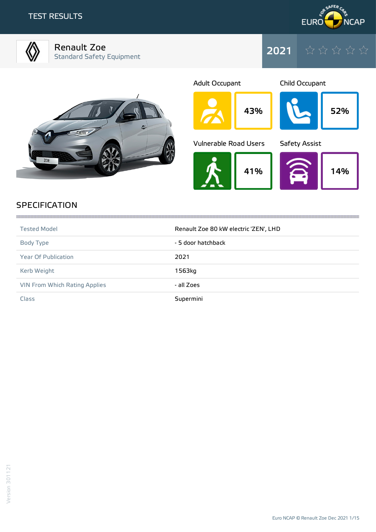## TEST RESULTS



Renault Zoe Standard Safety Equipment



2021





## **SPECIFICATION**

| <b>Tested Model</b>           | Renault Zoe 80 kW electric 'ZEN', LHD |
|-------------------------------|---------------------------------------|
| Body Type                     | - 5 door hatchback                    |
| <b>Year Of Publication</b>    | 2021                                  |
| Kerb Weight                   | 1563kg                                |
| VIN From Which Rating Applies | - all Zoes                            |
| Class                         | Supermini                             |

,我们的时候,我们的时候,我们的时候,我们的时候,我们的时候,我们的时候,我们的时候,我们的时候,我们的时候,我们的时候,我们的时候,我们的时候,我们的时候,我们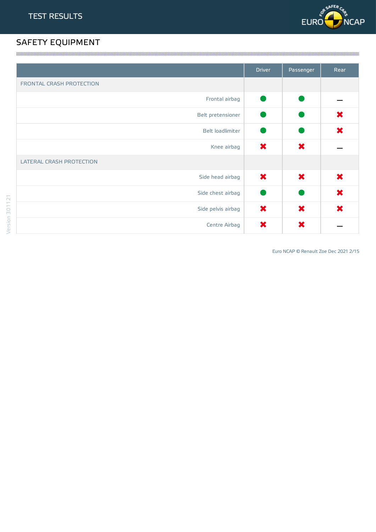

# SAFETY EQUIPMENT

|                                 | <b>Driver</b> | Passenger | Rear |
|---------------------------------|---------------|-----------|------|
| FRONTAL CRASH PROTECTION        |               |           |      |
| Frontal airbag                  |               |           |      |
| Belt pretensioner               |               |           | ×    |
| Belt loadlimiter                |               |           | ×    |
| Knee airbag                     | $\bm{x}$      | ×         |      |
| <b>LATERAL CRASH PROTECTION</b> |               |           |      |
| Side head airbag                | ×             | ×         | ×    |
| Side chest airbag               |               |           | ×    |
| Side pelvis airbag              | ×             | ×         | ×    |
| Centre Airbag                   | ×             | ×         |      |

Euro NCAP © Renault Zoe Dec 2021 2/15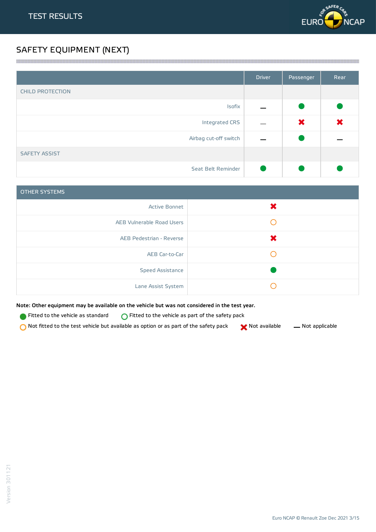

# SAFETY EQUIPMENT (NEXT)

|                         | <b>Driver</b> | Passenger | Rear |
|-------------------------|---------------|-----------|------|
| <b>CHILD PROTECTION</b> |               |           |      |
| Isofix                  |               |           |      |
| Integrated CRS          |               | ×         | ×    |
| Airbag cut-off switch   |               |           |      |
| <b>SAFETY ASSIST</b>    |               |           |      |
| Seat Belt Reminder      |               |           |      |

a series and the contract of the contract of the contract of the contract of the contract of the contract of the

| <b>OTHER SYSTEMS</b>      |          |
|---------------------------|----------|
| <b>Active Bonnet</b>      | $\bm{x}$ |
| AEB Vulnerable Road Users |          |
| AEB Pedestrian - Reverse  |          |
| AEB Car-to-Car            |          |
| <b>Speed Assistance</b>   |          |
| Lane Assist System        |          |

Note: Other equipment may be available on the vehicle but was not considered in the test year.

**Fitted to the vehicle as standard**  $\bigcirc$  Fitted to the vehicle as part of the safety pack

 $\bigcirc$  Not fitted to the test vehicle but available as option or as part of the safety pack  $\bigcirc$  Not available  $\qquad$  Not applicable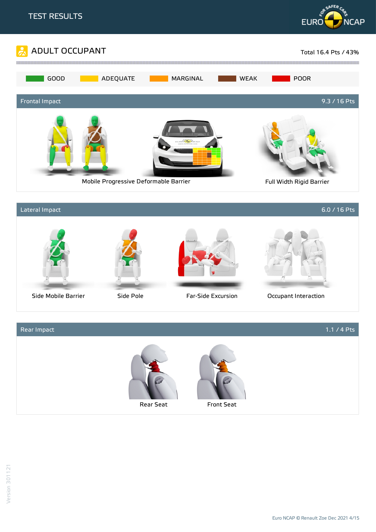



## Rear Impact 1.1 / 4 Pts



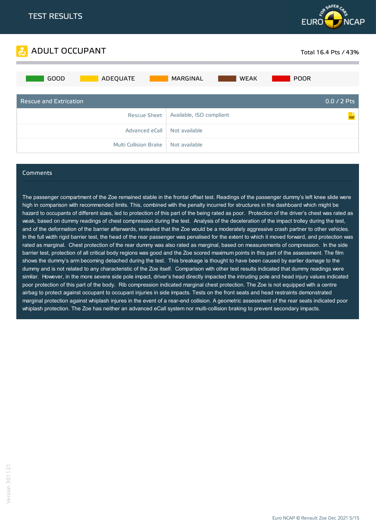



#### Comments

The passenger compartment of the Zoe remained stable in the frontal offset test. Readings of the passenger dummy's left knee slide were high in comparison with recommended limits. This, combined with the penalty incurred for structures in the dashboard which might be hazard to occupants of different sizes, led to protection of this part of the being rated as poor. Protection of the driver's chest was rated as weak, based on dummy readings of chest compression during the test. Analysis of the deceleration of the impact trolley during the test, and of the deformation of the barrier afterwards, revealed that the Zoe would be a moderately aggressive crash partner to other vehicles. In the full width rigid barrier test, the head of the rear passenger was penalised for the extent to which it moved forward, and protection was rated as marginal. Chest protection of the rear dummy was also rated as marginal, based on measurements of compression. In the side barrier test, protection of all critical body regions was good and the Zoe scored maximum points in this part of the assessment. The film shows the dummy's arm becoming detached during the test. This breakage is thought to have been caused by earlier damage to the dummy and is not related to any characteristic of the Zoe itself. Comparison with other test results indicated that dummy readings were similar. However, in the more severe side pole impact, driver's head directly impacted the intruding pole and head injury values indicated poor protection of this part of the body. Rib compression indicated marginal chest protection. The Zoe is not equipped with a centre airbag to protect against occupant to occupant injuries in side impacts. Tests on the front seats and head restraints demonstrated marginal protection against whiplash injures in the event of a rear-end collision. A geometric assessment of the rear seats indicated poor whiplash protection. The Zoe has neither an advanced eCall system nor multi-collision braking to prevent secondary impacts.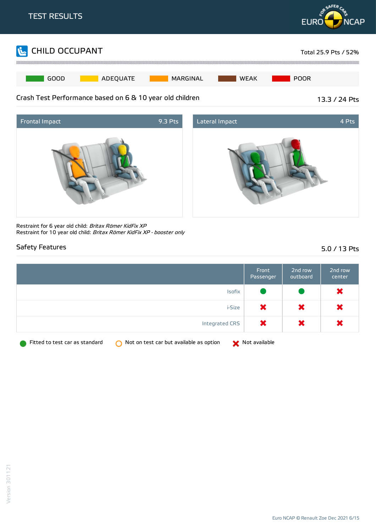





Restraint for 6 year old child: Britax Römer KidFix XP Restraint for 10 year old child: Britax Römer KidFix XP - booster only

## Safety Features 5.0 / 13 Pts

|                                                                                           | Front<br>Passenger | 2nd row<br>outboard | 2nd row<br>center |
|-------------------------------------------------------------------------------------------|--------------------|---------------------|-------------------|
| Isofix                                                                                    |                    |                     | ×                 |
| i-Size                                                                                    | ×                  | ×                   | ×                 |
| Integrated CRS                                                                            | ×                  | ×                   | ×                 |
| Fitted to test car as standard<br>Not on test car but available as option<br><sup>o</sup> | Not available      |                     |                   |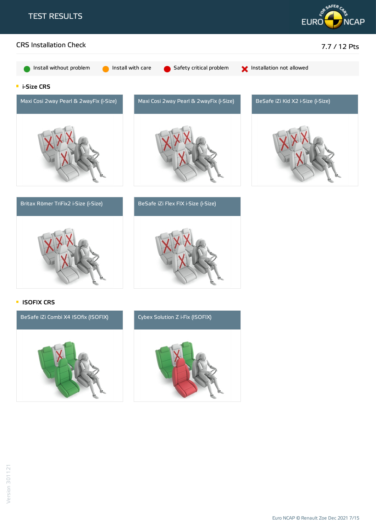





**ISOFIX CRS** 

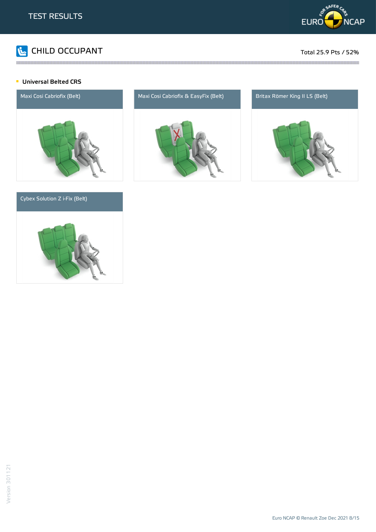

# CHILD OCCUPANT Total 25.9 Pts / 52%

#### **Universal Belted CRS**



### Cybex Solution Z i-Fix (Belt)





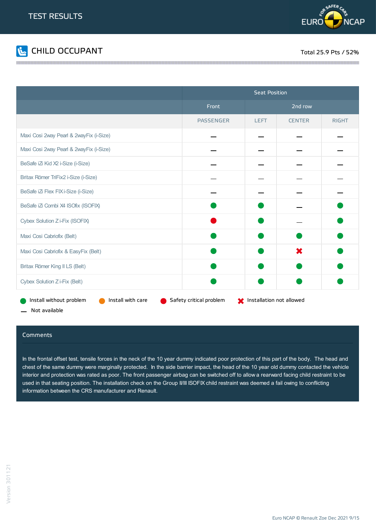



|                                              | <b>Seat Position</b>    |                                |               |              |
|----------------------------------------------|-------------------------|--------------------------------|---------------|--------------|
|                                              | Front                   | 2nd row                        |               |              |
|                                              | <b>PASSENGER</b>        | <b>LEFT</b>                    | <b>CENTER</b> | <b>RIGHT</b> |
| Maxi Cosi 2way Pearl & 2wayFix (i-Size)      |                         |                                |               |              |
| Maxi Cosi 2way Pearl & 2wayFix (i-Size)      |                         |                                |               |              |
| BeSafe iZi Kid X2 i-Size (i-Size)            |                         |                                |               |              |
| Britax Römer TriFix2 i-Size (i-Size)         |                         |                                |               |              |
| BeSafe iZi Flex FIX i-Size (i-Size)          |                         |                                |               |              |
| BeSafe iZi Combi X4 ISOfix (ISOFIX)          |                         |                                |               |              |
| Cybex Solution Z i-Fix (ISOFIX)              |                         |                                |               |              |
| Maxi Cosi Cabriofix (Belt)                   |                         |                                |               |              |
| Maxi Cosi Cabriofix & EasyFix (Belt)         |                         |                                | X             |              |
| Britax Römer King II LS (Belt)               |                         |                                |               |              |
| Cybex Solution Z i-Fix (Belt)                |                         |                                |               |              |
| Install with care<br>Install without problem | Safety critical problem | State Installation not allowed |               |              |

Not available

#### Comments

In the frontal offset test, tensile forces in the neck of the 10 year dummy indicated poor protection of this part of the body. The head and chest of the same dummy were marginally protected. In the side barrier impact, the head of the 10 year old dummy contacted the vehicle interior and protection was rated as poor. The front passenger airbag can be switched off to allow a rearward facing child restraint to be used in that seating position. The installation check on the Group II/III ISOFIX child restraint was deemed a fail owing to conflicting information between the CRS manufacturer and Renault.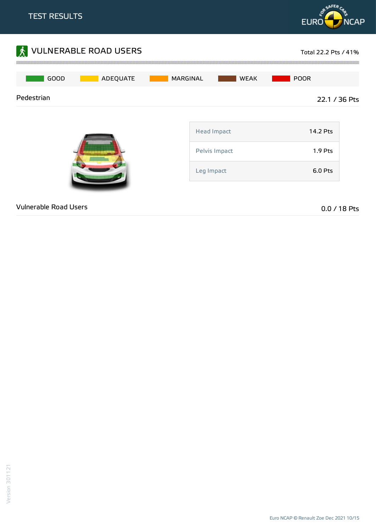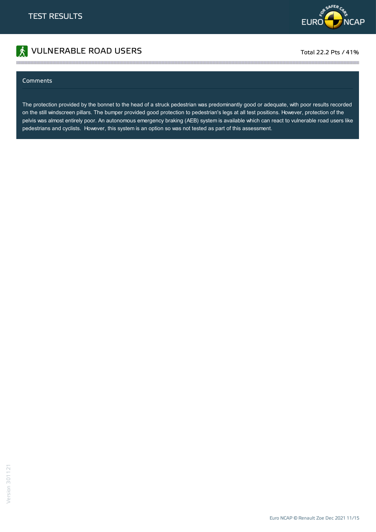

# **The VULNERABLE ROAD USERS** Total 22.2 Pts / 41%

#### Comments

The protection provided by the bonnet to the head of a struck pedestrian was predominantly good or adequate, with poor results recorded on the still windscreen pillars. The bumper provided good protection to pedestrian's legs at all test positions. However, protection of the pelvis was almost entirely poor. An autonomous emergency braking (AEB) system is available which can react to vulnerable road users like pedestrians and cyclists. However, this system is an option so was not tested as part of this assessment.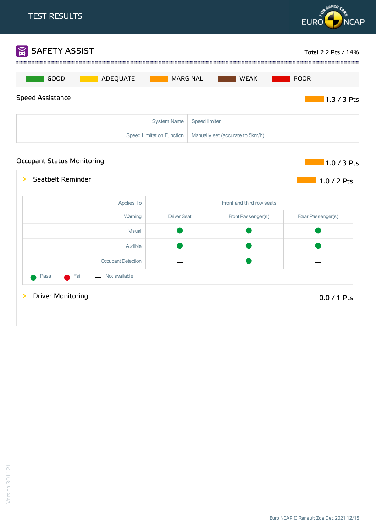

### Occupant Status Monitoring and the status of the status of the status of the status of the status of the status



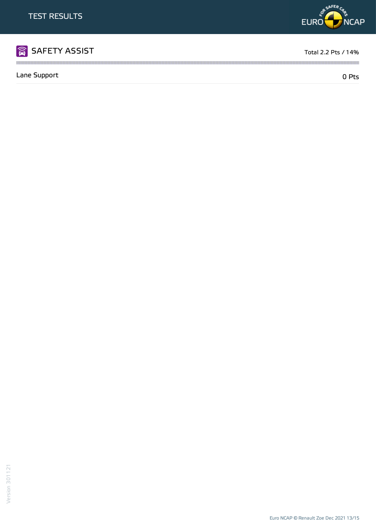

Lane Support 0 Pts

m



Version 301121



the contract of the contract of the contract of the contract of the contract of the contract of the contract of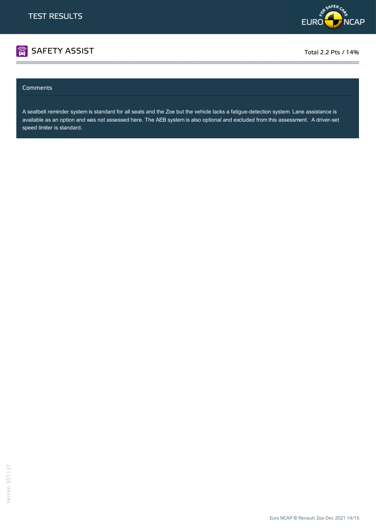

# SAFETY ASSIST TOTAL TOTAL TOTAL 2.2 Pts / 14%

#### Comments

A seatbelt reminder system is standard for all seats and the Zoe but the vehicle lacks a fatigue-detection system. Lane assistance is available as an option and was not assessed here. The AEB system is also optional and excluded from this assessment. A driver-set speed limiter is standard.